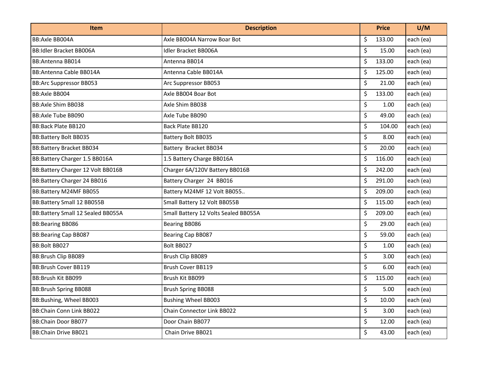| <b>Item</b>                       | <b>Description</b>                   | <b>Price</b> | U/M       |
|-----------------------------------|--------------------------------------|--------------|-----------|
| BB:Axle BB004A                    | Axle BB004A Narrow Boar Bot          | \$<br>133.00 | each (ea) |
| <b>BB:Idler Bracket BB006A</b>    | <b>Idler Bracket BB006A</b>          | \$<br>15.00  | each (ea) |
| BB: Antenna BB014                 | Antenna BB014                        | \$<br>133.00 | each (ea) |
| BB: Antenna Cable BB014A          | Antenna Cable BB014A                 | \$<br>125.00 | each (ea) |
| <b>BB:Arc Suppressor BB053</b>    | Arc Suppressor BB053                 | \$<br>21.00  | each (ea) |
| <b>BB:Axle BB004</b>              | Axle BB004 Boar Bot                  | \$<br>133.00 | each (ea) |
| BB: Axle Shim BB038               | Axle Shim BB038                      | \$<br>1.00   | each (ea) |
| <b>BB:Axle Tube BB090</b>         | Axle Tube BB090                      | \$<br>49.00  | each (ea) |
| <b>BB:Back Plate BB120</b>        | Back Plate BB120                     | \$<br>104.00 | each (ea) |
| <b>BB:Battery Bolt BB035</b>      | Battery Bolt BB035                   | \$<br>8.00   | each (ea) |
| <b>BB:Battery Bracket BB034</b>   | Battery Bracket BB034                | \$<br>20.00  | each (ea) |
| BB:Battery Charger 1.5 BB016A     | 1.5 Battery Charge BB016A            | \$<br>116.00 | each (ea) |
| BB:Battery Charger 12 Volt BB016B | Charger 6A/120V Battery BB016B       | \$<br>242.00 | each (ea) |
| BB:Battery Charger 24 BB016       | Battery Charger 24 BB016             | \$<br>291.00 | each (ea) |
| BB:Battery M24MF BB055            | Battery M24MF 12 Volt BB055          | \$<br>209.00 | each (ea) |
| BB:Battery Small 12 BB055B        | Small Battery 12 Volt BB055B         | \$<br>115.00 | each (ea) |
| BB:Battery Small 12 Sealed BB055A | Small Battery 12 Volts Sealed BB055A | \$<br>209.00 | each (ea) |
| <b>BB:Bearing BB086</b>           | Bearing BB086                        | \$<br>29.00  | each (ea) |
| <b>BB:Bearing Cap BB087</b>       | Bearing Cap BB087                    | \$<br>59.00  | each (ea) |
| BB:Bolt BB027                     | Bolt BB027                           | \$<br>1.00   | each (ea) |
| BB:Brush Clip BB089               | Brush Clip BB089                     | \$<br>3.00   | each (ea) |
| <b>BB:Brush Cover BB119</b>       | Brush Cover BB119                    | \$<br>6.00   | each (ea) |
| BB:Brush Kit BB099                | Brush Kit BB099                      | \$<br>115.00 | each (ea) |
| <b>BB:Brush Spring BB088</b>      | <b>Brush Spring BB088</b>            | \$<br>5.00   | each (ea) |
| BB:Bushing, Wheel BB003           | <b>Bushing Wheel BB003</b>           | \$<br>10.00  | each (ea) |
| BB:Chain Conn Link BB022          | Chain Connector Link BB022           | \$<br>3.00   | each (ea) |
| BB:Chain Door BB077               | Door Chain BB077                     | \$<br>12.00  | each (ea) |
| BB: Chain Drive BB021             | Chain Drive BB021                    | \$<br>43.00  | each (ea) |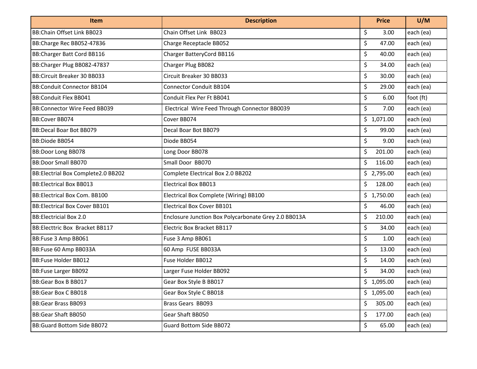| Item                                 | <b>Description</b>                                   | <b>Price</b> | U/M       |
|--------------------------------------|------------------------------------------------------|--------------|-----------|
| BB:Chain Offset Link BB023           | Chain Offset Link BB023                              | \$<br>3.00   | each (ea) |
| BB:Charge Rec BB052-47836            | Charge Receptacle BB052                              | \$<br>47.00  | each (ea) |
| <b>BB:Charger Batt Cord BB116</b>    | Charger BatteryCord BB116                            | \$<br>40.00  | each (ea) |
| BB:Charger Plug BB082-47837          | Charger Plug BB082                                   | \$<br>34.00  | each (ea) |
| <b>BB:Circuit Breaker 30 BB033</b>   | Circuit Breaker 30 BB033                             | \$<br>30.00  | each (ea) |
| <b>BB:Conduit Connector BB104</b>    | <b>Connector Conduit BB104</b>                       | \$<br>29.00  | each (ea) |
| <b>BB:Conduit Flex BB041</b>         | Conduit Flex Per Ft BB041                            | \$<br>6.00   | foot (ft) |
| BB:Connector Wire Feed BB039         | Electrical Wire Feed Through Connector BB0039        | \$<br>7.00   | each (ea) |
| BB:Cover BB074                       | Cover BB074                                          | \$1,071.00   | each (ea) |
| BB: Decal Boar Bot BB079             | Decal Boar Bot BB079                                 | \$<br>99.00  | each (ea) |
| BB:Diode BB054                       | Diode BB054                                          | \$<br>9.00   | each (ea) |
| BB:Door Long BB078                   | Long Door BB078                                      | \$<br>201.00 | each (ea) |
| <b>BB:Door Small BB070</b>           | Small Door BB070                                     | \$<br>116.00 | each (ea) |
| BB: Electrial Box Complete 2.0 BB202 | Complete Electrical Box 2.0 BB202                    | \$2,795.00   | each (ea) |
| <b>BB:Electrical Box BB013</b>       | <b>Electrical Box BB013</b>                          | \$<br>128.00 | each (ea) |
| BB: Electrical Box Com. BB100        | Electrical Box Complete (Wiring) BB100               | \$1,750.00   | each (ea) |
| <b>BB:Electrical Box Cover BB101</b> | <b>Electrical Box Cover BB101</b>                    | \$<br>46.00  | each (ea) |
| <b>BB:Electricial Box 2.0</b>        | Enclosure Junction Box Polycarbonate Grey 2.0 BB013A | \$<br>210.00 | each (ea) |
| BB: Electtric Box Bracket BB117      | Electric Box Bracket BB117                           | \$<br>34.00  | each (ea) |
| BB:Fuse 3 Amp BB061                  | Fuse 3 Amp BB061                                     | \$<br>1.00   | each (ea) |
| BB:Fuse 60 Amp BB033A                | 60 Amp FUSE BB033A                                   | \$<br>13.00  | each (ea) |
| <b>BB:Fuse Holder BB012</b>          | Fuse Holder BB012                                    | \$<br>14.00  | each (ea) |
| <b>BB:Fuse Larger BB092</b>          | Larger Fuse Holder BB092                             | \$<br>34.00  | each (ea) |
| <b>BB:Gear Box B BB017</b>           | Gear Box Style B BB017                               | \$1,095.00   | each (ea) |
| BB:Gear Box C BB018                  | Gear Box Style C BB018                               | \$1,095.00   | each (ea) |
| <b>BB:Gear Brass BB093</b>           | Brass Gears BB093                                    | \$<br>305.00 | each (ea) |
| BB:Gear Shaft BB050                  | Gear Shaft BB050                                     | \$<br>177.00 | each (ea) |
| BB: Guard Bottom Side BB072          | <b>Guard Bottom Side BB072</b>                       | \$<br>65.00  | each (ea) |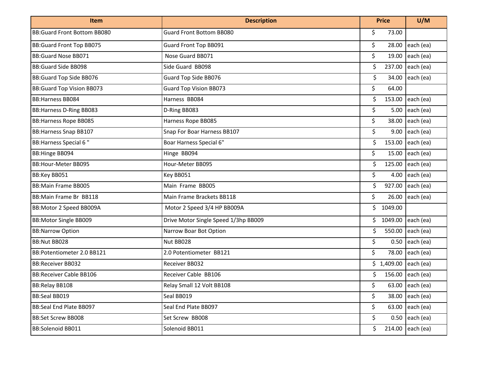| <b>Item</b>                      | <b>Description</b>                   | <b>Price</b>   | U/M                    |
|----------------------------------|--------------------------------------|----------------|------------------------|
| BB: Guard Front Bottom BB080     | <b>Guard Front Bottom BB080</b>      | \$<br>73.00    |                        |
| <b>BB:Guard Front Top BB075</b>  | Guard Front Top BB091                | \$<br>28.00    | each (ea)              |
| <b>BB:Guard Nose BB071</b>       | Nose Guard BB071                     | \$<br>19.00    | each (ea)              |
| <b>BB:Guard Side BB098</b>       | Side Guard BB098                     | \$<br>237.00   | each (ea)              |
| <b>BB:Guard Top Side BB076</b>   | Guard Top Side BB076                 | \$<br>34.00    | each (ea)              |
| <b>BB:Guard Top Vision BB073</b> | <b>Guard Top Vision BB073</b>        | \$<br>64.00    |                        |
| <b>BB:Harness BB084</b>          | Harness BB084                        | \$<br>153.00   | each (ea)              |
| <b>BB:Harness D-Ring BB083</b>   | D-Ring BB083                         | \$<br>5.00     | each (ea)              |
| <b>BB:Harness Rope BB085</b>     | Harness Rope BB085                   | \$<br>38.00    | each (ea)              |
| <b>BB:Harness Snap BB107</b>     | Snap For Boar Harness BB107          | \$<br>9.00     | each (ea)              |
| <b>BB: Harness Special 6 "</b>   | Boar Harness Special 6"              | \$<br>153.00   | each (ea)              |
| <b>BB:Hinge BB094</b>            | Hinge BB094                          | \$<br>15.00    | each (ea)              |
| BB:Hour-Meter BB095              | Hour-Meter BB095                     | \$<br>125.00   | each (ea)              |
| BB:Key BB051                     | Key BB051                            | \$<br>4.00     | each (ea)              |
| <b>BB:Main Frame BB005</b>       | Main Frame BB005                     | \$<br>927.00   | each (ea)              |
| BB: Main Frame Br BB118          | Main Frame Brackets BB118            | \$<br>26.00    | each (ea)              |
| BB: Motor 2 Speed BB009A         | Motor 2 Speed 3/4 HP BB009A          | \$.<br>1049.00 |                        |
| <b>BB:Motor Single BB009</b>     | Drive Motor Single Speed 1/3hp BB009 | \$1049.00      | each (ea)              |
| <b>BB:Narrow Option</b>          | Narrow Boar Bot Option               | \$<br>550.00   | each (ea)              |
| BB:Nut BB028                     | Nut BB028                            | \$<br>0.50     | each (ea)              |
| BB:Potentiometer 2.0 BB121       | 2.0 Potentiometer BB121              | \$<br>78.00    | each (ea)              |
| <b>BB:Receiver BB032</b>         | Receiver BB032                       | \$1,409.00     | each (ea)              |
| <b>BB:Receiver Cable BB106</b>   | Receiver Cable BB106                 | \$             | 156.00 each (ea)       |
| <b>BB:Relay BB108</b>            | Relay Small 12 Volt BB108            | \$             | 63.00 each (ea)        |
| BB:Seal BB019                    | Seal BB019                           | $\zeta$        | 38.00 each (ea)        |
| BB:Seal End Plate BB097          | Seal End Plate BB097                 | $\mathsf{S}$   | 63.00 $ $ each $ $ ea) |
| <b>BB:Set Screw BB008</b>        | Set Screw BB008                      | \$             | $0.50$ each (ea)       |
| <b>BB:Solenoid BB011</b>         | Solenoid BB011                       | \$.            | 214.00 each (ea)       |